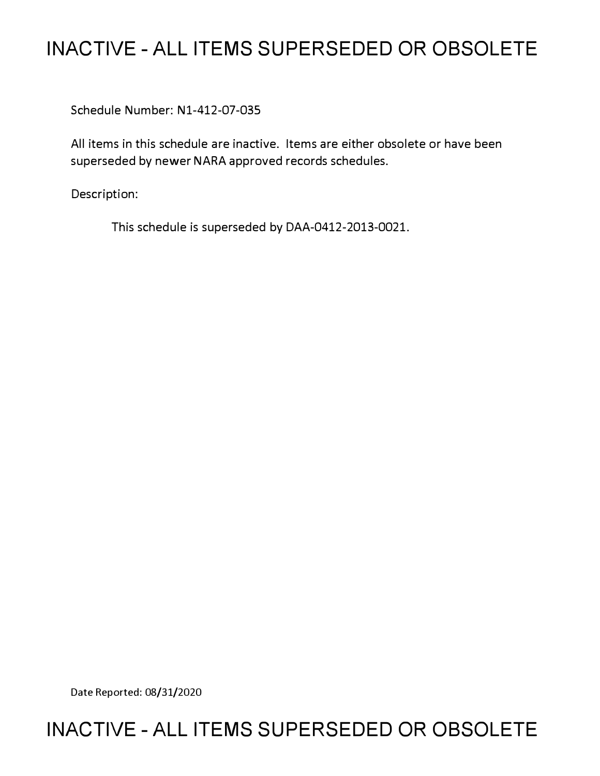## **INACTIVE - ALL ITEMS SUPERSEDED OR OBSOLETE**

Schedule Number: Nl-412-07-035

All items in this schedule are inactive. Items are either obsolete or have been superseded by newer NARA approved records schedules.

Description:

This schedule is superseded by DAA-0412-2013-0021.

Date Reported: 08/31/2020

### **INACTIVE - ALL ITEMS SUPERSEDED OR OBSOLETE**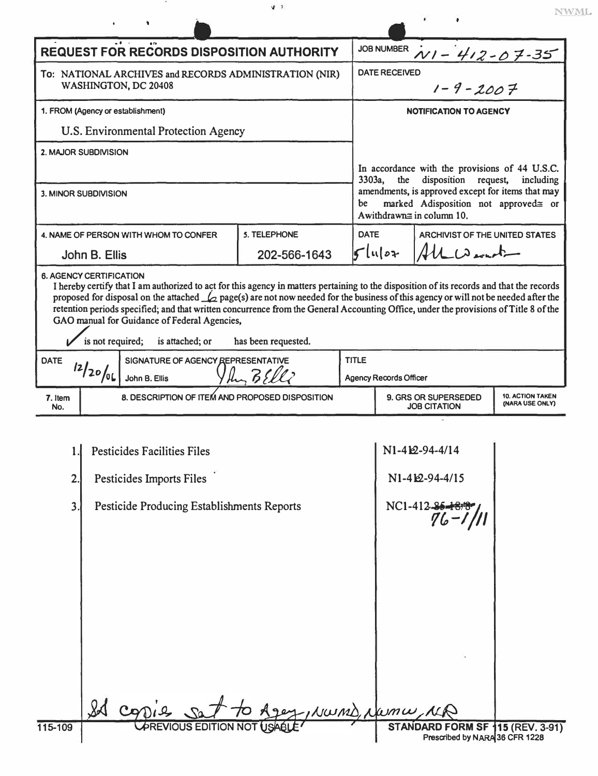|                                                                                                                                                                                                                                                                                                                                                                                                                                                                                                                           |                                                 |                                       | $\mathcal{P} \rightarrow$         |             |                                                                                                                                                                                                                                         |                                |  |
|---------------------------------------------------------------------------------------------------------------------------------------------------------------------------------------------------------------------------------------------------------------------------------------------------------------------------------------------------------------------------------------------------------------------------------------------------------------------------------------------------------------------------|-------------------------------------------------|---------------------------------------|-----------------------------------|-------------|-----------------------------------------------------------------------------------------------------------------------------------------------------------------------------------------------------------------------------------------|--------------------------------|--|
|                                                                                                                                                                                                                                                                                                                                                                                                                                                                                                                           |                                                 |                                       |                                   |             |                                                                                                                                                                                                                                         |                                |  |
| <b>REQUEST FOR RECORDS DISPOSITION AUTHORITY</b>                                                                                                                                                                                                                                                                                                                                                                                                                                                                          |                                                 |                                       |                                   |             | <b>JOB NUMBER</b><br>$N1 - 412 - 07 - 35$                                                                                                                                                                                               |                                |  |
| To: NATIONAL ARCHIVES and RECORDS ADMINISTRATION (NIR)<br>WASHINGTON, DC 20408                                                                                                                                                                                                                                                                                                                                                                                                                                            |                                                 |                                       |                                   |             | <b>DATE RECEIVED</b>                                                                                                                                                                                                                    |                                |  |
|                                                                                                                                                                                                                                                                                                                                                                                                                                                                                                                           |                                                 |                                       |                                   |             | $1 - 9 - 2007$                                                                                                                                                                                                                          |                                |  |
| 1. FROM (Agency or establishment)                                                                                                                                                                                                                                                                                                                                                                                                                                                                                         |                                                 |                                       |                                   |             | <b>NOTIFICATION TO AGENCY</b>                                                                                                                                                                                                           |                                |  |
| U.S. Environmental Protection Agency                                                                                                                                                                                                                                                                                                                                                                                                                                                                                      |                                                 |                                       |                                   |             |                                                                                                                                                                                                                                         |                                |  |
| 2. MAJOR SUBDIVISION                                                                                                                                                                                                                                                                                                                                                                                                                                                                                                      |                                                 |                                       |                                   |             | In accordance with the provisions of 44 U.S.C.<br>3303a,<br>the<br>disposition<br>request,<br>including<br>amendments, is approved except for items that may<br>marked Adisposition not approved≅ or<br>be<br>Awithdrawn≅ in column 10. |                                |  |
|                                                                                                                                                                                                                                                                                                                                                                                                                                                                                                                           |                                                 |                                       |                                   |             |                                                                                                                                                                                                                                         |                                |  |
| <b>3. MINOR SUBDIVISION</b>                                                                                                                                                                                                                                                                                                                                                                                                                                                                                               |                                                 |                                       |                                   |             |                                                                                                                                                                                                                                         |                                |  |
|                                                                                                                                                                                                                                                                                                                                                                                                                                                                                                                           |                                                 |                                       |                                   |             |                                                                                                                                                                                                                                         |                                |  |
|                                                                                                                                                                                                                                                                                                                                                                                                                                                                                                                           |                                                 | 4. NAME OF PERSON WITH WHOM TO CONFER | 5. TELEPHONE                      | <b>DATE</b> |                                                                                                                                                                                                                                         | ARCHIVIST OF THE UNITED STATES |  |
| John B. Ellis                                                                                                                                                                                                                                                                                                                                                                                                                                                                                                             |                                                 |                                       | 202-566-1643                      |             | $5$ luloz                                                                                                                                                                                                                               | ALW                            |  |
| <b>6. AGENCY CERTIFICATION</b><br>I hereby certify that I am authorized to act for this agency in matters pertaining to the disposition of its records and that the records<br>proposed for disposal on the attached $\mathcal{L}_{2}$ page(s) are not now needed for the business of this agency or will not be needed after the<br>retention periods specified; and that written concurrence from the General Accounting Office, under the provisions of Title 8 of the<br>GAO manual for Guidance of Federal Agencies, |                                                 |                                       |                                   |             |                                                                                                                                                                                                                                         |                                |  |
| is not required;<br>is attached; or<br>has been requested.                                                                                                                                                                                                                                                                                                                                                                                                                                                                |                                                 |                                       |                                   |             |                                                                                                                                                                                                                                         |                                |  |
| SIGNATURE OF AGENCY REPRESENTATIVE<br><b>DATE</b>                                                                                                                                                                                                                                                                                                                                                                                                                                                                         |                                                 |                                       | <b>TITLE</b>                      |             |                                                                                                                                                                                                                                         |                                |  |
|                                                                                                                                                                                                                                                                                                                                                                                                                                                                                                                           | 12/20/06                                        | John B. Ellis                         | $\mathbb{L}$ $\mathbb{R}$ $\zeta$ |             | <b>Agency Records Officer</b>                                                                                                                                                                                                           |                                |  |
| 7. Item<br>No.                                                                                                                                                                                                                                                                                                                                                                                                                                                                                                            | 8. DESCRIPTION OF ITEM AND PROPOSED DISPOSITION |                                       |                                   |             | <b>10. ACTION TAKEN</b><br>9. GRS OR SUPERSEDED<br>(NARA USE ONLY)<br><b>JOB CITATION</b>                                                                                                                                               |                                |  |

NWML.

|         | <b>Pesticides Facilities Files</b>           | N1-412-94-4/14                                                     |
|---------|----------------------------------------------|--------------------------------------------------------------------|
| 2.      | Pesticides Imports Files                     | N1-412-94-4/15                                                     |
| 3       | Pesticide Producing Establishments Reports   | NC1-412-86-18/8"                                                   |
|         |                                              |                                                                    |
|         |                                              |                                                                    |
|         |                                              |                                                                    |
|         |                                              |                                                                    |
|         | Ager, NWMD, Numw, NR<br>CODIQ                |                                                                    |
| 115-109 | <b><i>UPREVIOUS EDITION NOT</i></b><br>USABL | STANDARD FORM SF 115 (REV. 3-91)<br>Prescribed by NARA 36 CFR 1228 |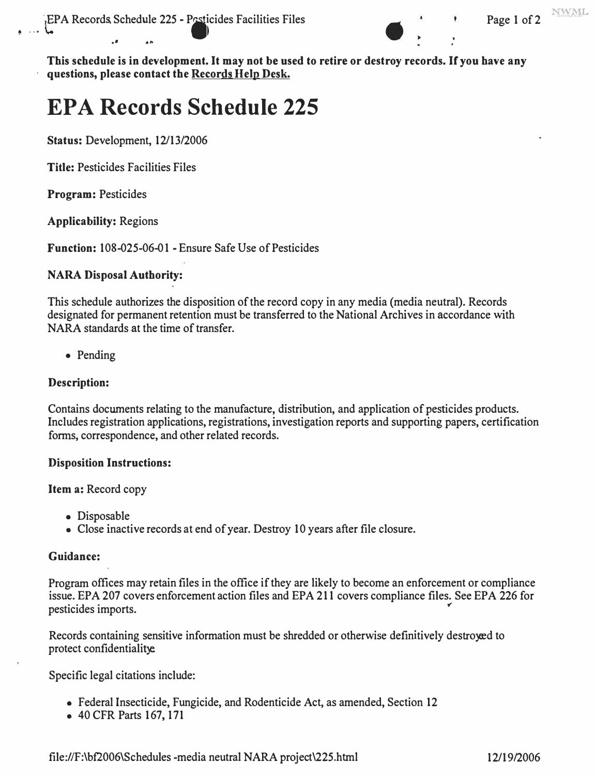

**NWML** 

**This schedule is in development. It may not be used to retire or destroy records. If you have any questions, please contact the Records Help Desk.** 

# **EPA Records Schedule 225**

**Status:** Development, 12/13/2006

**Title:** Pesticides Facilities Files

**Program:** Pesticides

**Applicability:** Regions

**Function:** 108-025-06-01 - Ensure Safe Use of Pesticides

#### **NARA Disposal Authority:**

This schedule authorizes the disposition of the record copy in any media (media neutral). Records designated for permanent retention must be transferred to the National Archives in accordance with NARA standards at the time of transfer.

• Pending

#### **Description:**

Contains docwnents relating to the manufacture, distribution, and application of pesticides products. Includes registration applications, registrations, investigation reports and supporting papers, certification forms, correspondence, and other related records.

#### **Disposition Instructions:**

**Item a:** Record copy

- Disposable
- Close inactive records at end of year. Destroy 10 years after file closure.

#### **Guidance:**

Program offices may retain files in the office if they are likely to become an enforcement or compliance ssue. EPA 207 covers enforcement action files and EPA 211 covers compliance files. See EPA 226 for besticides imports.

Records containing sensitive information must be shredded or otherwise definitively destroyed to protect confidentialitye.

Specific legal citations include:

- Federal Insecticide, Fungicide, and Rodenticide Act, as amended, Section 12
- 40 CFR Parts 167, 171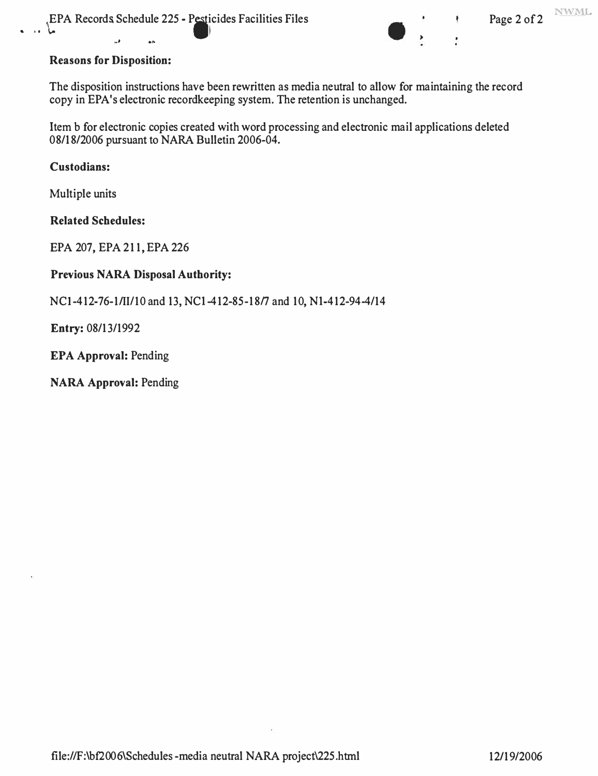

The disposition instructions have been rewritten as media neutral to allow for maintaining the record copy in EP A's electronic recordkeeping system. The retention is unchanged.

Item b for electronic copies created with word processing and electronic mail applications deleted 08/18/2006 pursuant to NARA Bulletin 2006-04.

#### **Custodians:**

Multiple units

**Related Schedules:** 

EPA 207, EPA 211, EPA 226

#### **Previous NARA Disposal Authority:**

NCI-412-76-1/11/10 and 13, NCl-412-85-18/7 and 10, Nl-412-94-4/14

**Entry:** 08/13/1992

**EPA Approval:** Pending

**NARA Approval:** Pending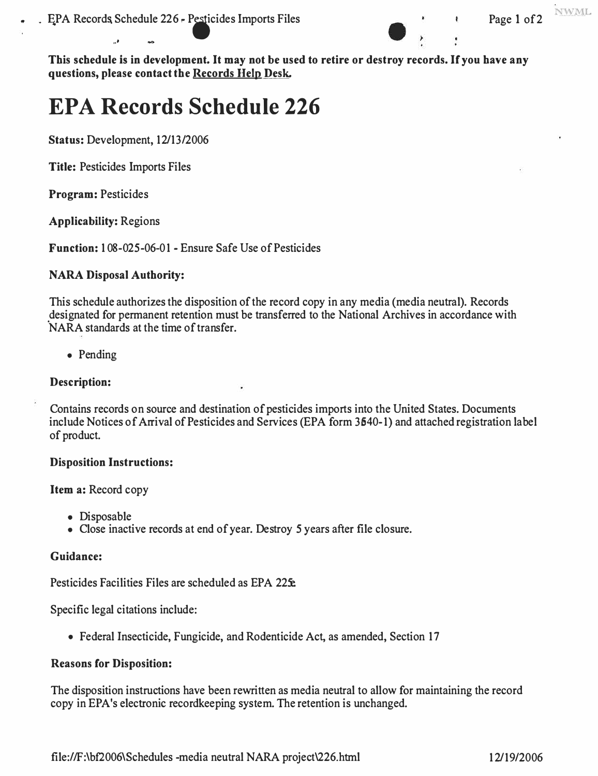

NWML

**This schedule is in development. It may not be used to retire or destroy records. If you have any questions, please contact the Records Hein Desk.** 

# **EPA Records Schedule 226**

**Status:** Development, 12/13/2006

,., fl,(),

**Title:** Pesticides Imports Files

**Program:** Pesticides

**Applicability:** Regions

**Function:** 108-025 -06-01 - Ensure Safe Use of Pesticides

#### **NARA Disposal Authority:**

This schedule authorizes the disposition of the record copy in any media (media neutral). Records designated for permanent retention must be transferred to the National Archives in accordance with NARA standards at the time of transfer.

• Pending

#### **Description:**

Contains records on source and destination of pesticides imports into the United States. Documents include Notices of Arrival of Pesticides and Services (EPA form 3540-1) and attached registration label of product.

#### **Disposition Instructions:**

**Item a:** Record copy

- Disposable
- Close inactive records at end of year. Destroy *5* years after file closure.

#### **Guidance:**

Pesticides Facilities Files are scheduled as EPA 225e.

Specific legal citations include:

• Federal Insecticide, Fungicide, and Rodenticide Act, as amended, Section 17

#### **Reasons for Disposition:**

The disposition instructions have been rewritten as media neutral to allow for maintaining the record copy in EPA's electronic recordkeeping system. The retention is unchanged.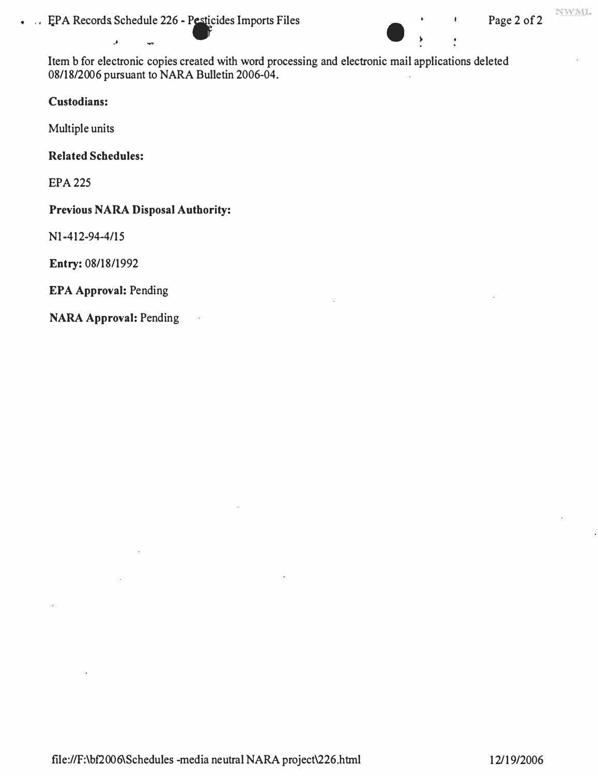. EPA Records Schedule 226 - Pesticides Imports Files Page 2 of 2

Item b for electronic copies created with word processing and electronic mail applications deleted 08/18/2006 pursuant to NARA Bulletin 2006-04.

#### **Custodians:**

Multiple units

#### **Related Schedules:**

·'

EPA225

#### **Previous NARA Disposal Authority:**

 $\sim$ 

Nl-412-94-4/15

**Entry:** 08/18/1992

#### **EPA Approval:** Pending

**NARA Approval:** Pending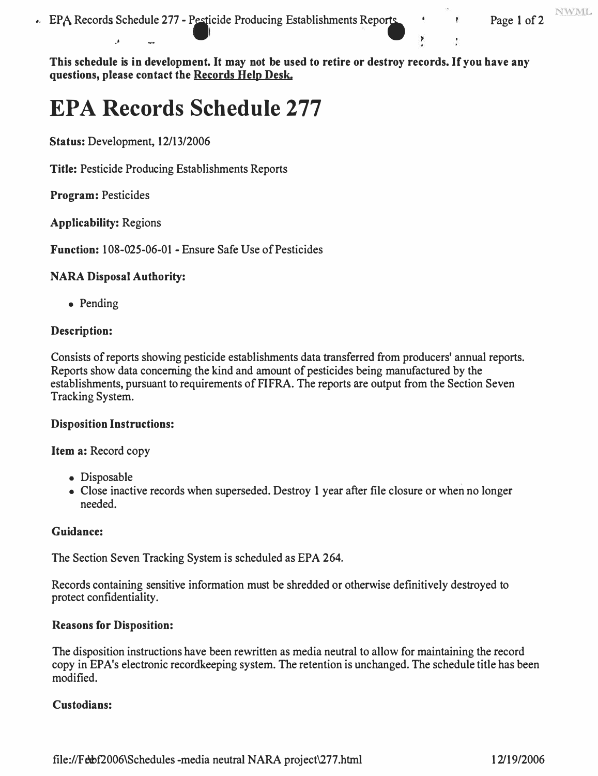•. EPA Records Schedule 277 - Pesticide Producing Establishments Reports **... Page 1 of 2** 

**NWML** 

**This schedule is in development. It may not be used to retire or destroy records. If you have any questions, please contact the Records Hein Des�** 

## **EPA Records Schedule 277**

**Status: Development, 12/13/2006** 

.- .....

**Title: Pesticide Producing Establishments Reports** 

**Program: Pesticides** 

**Applicability: Regions** 

**Function: 108-025-06-0 1 - Ensure Safe Use of Pesticides** 

#### **NARA Disposal Authority:**

**• Pending**

#### **Description:**

**Consists of reports showing pesticide establishments data transferred from producers' annual reports. Reports show data concerning the kind and amount of pesticides being manufactured by the**  establishments, pursuant to requirements of FIFRA. The reports are output from the Section Seven **Tracking System.** 

#### **Disposition Instructions:**

**Item a: Record copy** 

- **Disposable**
- **Close inactive records when superseded. Destroy 1 year after file closure or when no longer needed.**

#### **Guidance:**

**The Section Seven Tracking System is scheduled as EPA 264.** 

**Records containing sensitive information must be shredded or otherwise definitively destroyed to protect confidentiality.** 

#### **Reasons for Disposition:**

**The disposition instructions have been rewritten as media neutral to allow for maintaining the record**  copy in EPA's electronic recordkeeping system. The retention is unchanged. The schedule title has been **modified.** 

#### **Custodians:**